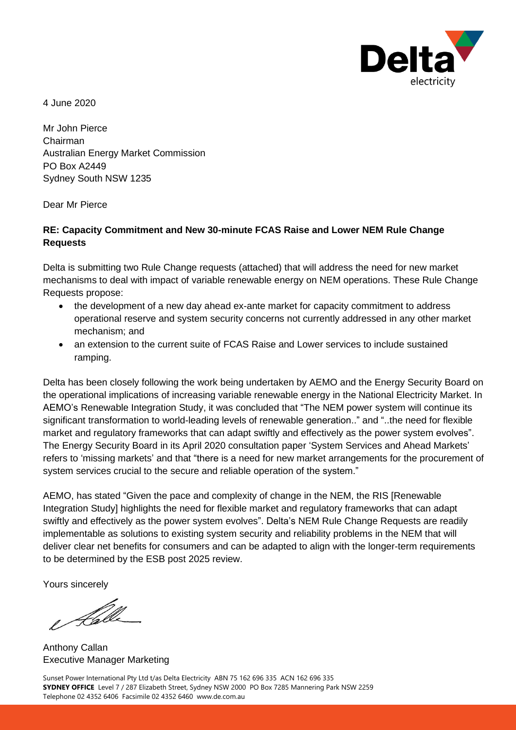

4 June 2020

Mr John Pierce Chairman Australian Energy Market Commission PO Box A2449 Sydney South NSW 1235

Dear Mr Pierce

#### **RE: Capacity Commitment and New 30-minute FCAS Raise and Lower NEM Rule Change Requests**

Delta is submitting two Rule Change requests (attached) that will address the need for new market mechanisms to deal with impact of variable renewable energy on NEM operations. These Rule Change Requests propose:

- the development of a new day ahead ex-ante market for capacity commitment to address operational reserve and system security concerns not currently addressed in any other market mechanism; and
- an extension to the current suite of FCAS Raise and Lower services to include sustained ramping.

Delta has been closely following the work being undertaken by AEMO and the Energy Security Board on the operational implications of increasing variable renewable energy in the National Electricity Market. In AEMO's Renewable Integration Study, it was concluded that "The NEM power system will continue its significant transformation to world-leading levels of renewable generation.." and "..the need for flexible market and regulatory frameworks that can adapt swiftly and effectively as the power system evolves". The Energy Security Board in its April 2020 consultation paper 'System Services and Ahead Markets' refers to 'missing markets' and that "there is a need for new market arrangements for the procurement of system services crucial to the secure and reliable operation of the system."

AEMO, has stated "Given the pace and complexity of change in the NEM, the RIS [Renewable Integration Study] highlights the need for flexible market and regulatory frameworks that can adapt swiftly and effectively as the power system evolves". Delta's NEM Rule Change Requests are readily implementable as solutions to existing system security and reliability problems in the NEM that will deliver clear net benefits for consumers and can be adapted to align with the longer-term requirements to be determined by the ESB post 2025 review.

Yours sincerely

e Kalle

Anthony Callan Executive Manager Marketing

Sunset Power International Pty Ltd t/as Delta Electricity ABN 75 162 696 335 ACN 162 696 335 **SYDNEY OFFICE** Level 7 / 287 Elizabeth Street, Sydney NSW 2000 PO Box 7285 Mannering Park NSW 2259 Telephone 02 4352 6406 Facsimile 02 4352 6460 www.de.com.au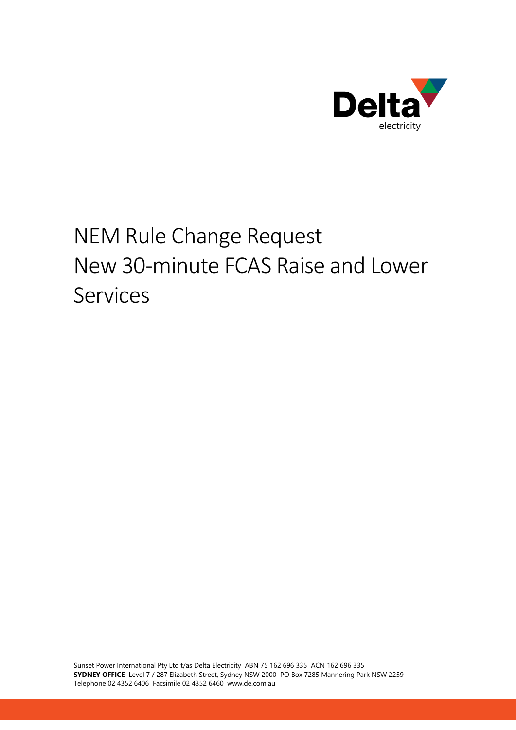

# NEM Rule Change Request New 30-minute FCAS Raise and Lower Services

Sunset Power International Pty Ltd t/as Delta Electricity ABN 75 162 696 335 ACN 162 696 335 **SYDNEY OFFICE** Level 7 / 287 Elizabeth Street, Sydney NSW 2000 PO Box 7285 Mannering Park NSW 2259 Telephone 02 4352 6406 Facsimile 02 4352 6460 www.de.com.au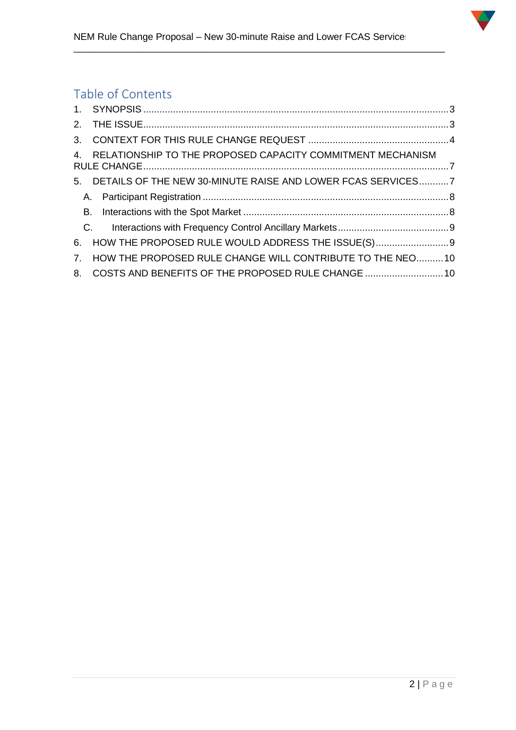

\_\_\_\_\_\_\_\_\_\_\_\_\_\_\_\_\_\_\_\_\_\_\_\_\_\_\_\_\_\_\_\_\_\_\_\_\_\_\_\_\_\_\_\_\_\_\_\_\_\_\_\_\_\_\_\_\_\_\_\_\_\_\_\_\_\_\_\_\_\_

# Table of Contents

|                | 4. RELATIONSHIP TO THE PROPOSED CAPACITY COMMITMENT MECHANISM  |  |
|----------------|----------------------------------------------------------------|--|
|                | 5. DETAILS OF THE NEW 30-MINUTE RAISE AND LOWER FCAS SERVICES7 |  |
|                |                                                                |  |
|                |                                                                |  |
|                | C <sub>1</sub>                                                 |  |
| 6.             | HOW THE PROPOSED RULE WOULD ADDRESS THE ISSUE(S)               |  |
| 7 <sup>1</sup> | HOW THE PROPOSED RULE CHANGE WILL CONTRIBUTE TO THE NEO10      |  |
|                | 8. COSTS AND BENEFITS OF THE PROPOSED RULE CHANGE 10           |  |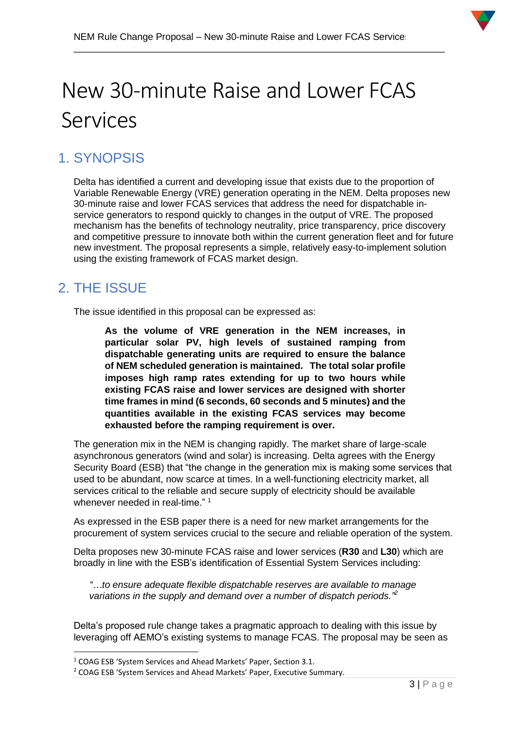\_\_\_\_\_\_\_\_\_\_\_\_\_\_\_\_\_\_\_\_\_\_\_\_\_\_\_\_\_\_\_\_\_\_\_\_\_\_\_\_\_\_\_\_\_\_\_\_\_\_\_\_\_\_\_\_\_\_\_\_\_\_\_\_\_\_\_\_\_\_



# New 30-minute Raise and Lower FCAS Services

# <span id="page-3-0"></span>1. SYNOPSIS

Delta has identified a current and developing issue that exists due to the proportion of Variable Renewable Energy (VRE) generation operating in the NEM. Delta proposes new 30-minute raise and lower FCAS services that address the need for dispatchable inservice generators to respond quickly to changes in the output of VRE. The proposed mechanism has the benefits of technology neutrality, price transparency, price discovery and competitive pressure to innovate both within the current generation fleet and for future new investment. The proposal represents a simple, relatively easy-to-implement solution using the existing framework of FCAS market design.

# <span id="page-3-1"></span>2. THE ISSUE

The issue identified in this proposal can be expressed as:

**As the volume of VRE generation in the NEM increases, in particular solar PV, high levels of sustained ramping from dispatchable generating units are required to ensure the balance of NEM scheduled generation is maintained. The total solar profile imposes high ramp rates extending for up to two hours while existing FCAS raise and lower services are designed with shorter time frames in mind (6 seconds, 60 seconds and 5 minutes) and the quantities available in the existing FCAS services may become exhausted before the ramping requirement is over.**

The generation mix in the NEM is changing rapidly. The market share of large-scale asynchronous generators (wind and solar) is increasing. Delta agrees with the Energy Security Board (ESB) that "the change in the generation mix is making some services that used to be abundant, now scarce at times. In a well-functioning electricity market, all services critical to the reliable and secure supply of electricity should be available whenever needed in real-time."<sup>1</sup>

As expressed in the ESB paper there is a need for new market arrangements for the procurement of system services crucial to the secure and reliable operation of the system.

Delta proposes new 30-minute FCAS raise and lower services (**R30** and **L30**) which are broadly in line with the ESB's identification of Essential System Services including:

*"…to ensure adequate flexible dispatchable reserves are available to manage*  variations in the supply and demand over a number of dispatch periods.<sup>12</sup>

Delta's proposed rule change takes a pragmatic approach to dealing with this issue by leveraging off AEMO's existing systems to manage FCAS. The proposal may be seen as

<sup>&</sup>lt;sup>1</sup> COAG ESB 'System Services and Ahead Markets' Paper, Section 3.1.

<sup>2</sup> COAG ESB 'System Services and Ahead Markets' Paper, Executive Summary.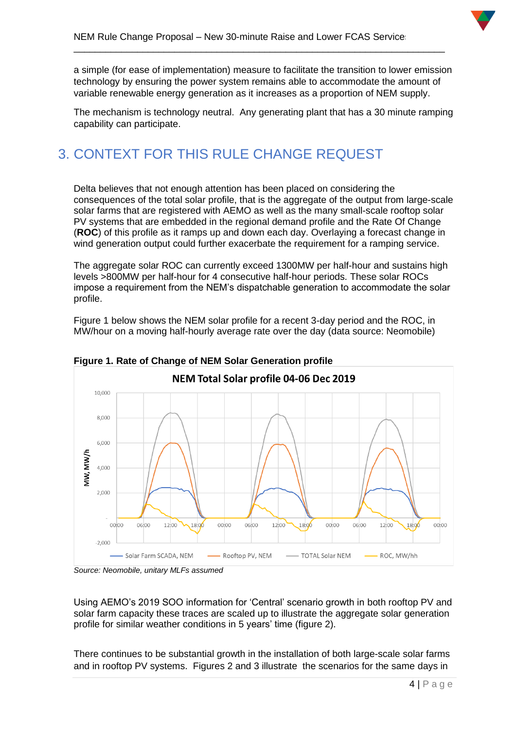

a simple (for ease of implementation) measure to facilitate the transition to lower emission technology by ensuring the power system remains able to accommodate the amount of variable renewable energy generation as it increases as a proportion of NEM supply.

\_\_\_\_\_\_\_\_\_\_\_\_\_\_\_\_\_\_\_\_\_\_\_\_\_\_\_\_\_\_\_\_\_\_\_\_\_\_\_\_\_\_\_\_\_\_\_\_\_\_\_\_\_\_\_\_\_\_\_\_\_\_\_\_\_\_\_\_\_\_

The mechanism is technology neutral. Any generating plant that has a 30 minute ramping capability can participate.

# <span id="page-4-0"></span>3. CONTEXT FOR THIS RULE CHANGE REQUEST

Delta believes that not enough attention has been placed on considering the consequences of the total solar profile, that is the aggregate of the output from large-scale solar farms that are registered with AEMO as well as the many small-scale rooftop solar PV systems that are embedded in the regional demand profile and the Rate Of Change (**ROC**) of this profile as it ramps up and down each day. Overlaying a forecast change in wind generation output could further exacerbate the requirement for a ramping service.

The aggregate solar ROC can currently exceed 1300MW per half-hour and sustains high levels >800MW per half-hour for 4 consecutive half-hour periods. These solar ROCs impose a requirement from the NEM's dispatchable generation to accommodate the solar profile.

Figure 1 below shows the NEM solar profile for a recent 3-day period and the ROC, in MW/hour on a moving half-hourly average rate over the day (data source: Neomobile)



**Figure 1. Rate of Change of NEM Solar Generation profile**

*Source: Neomobile, unitary MLFs assumed*

Using AEMO's 2019 SOO information for 'Central' scenario growth in both rooftop PV and solar farm capacity these traces are scaled up to illustrate the aggregate solar generation profile for similar weather conditions in 5 years' time (figure 2).

There continues to be substantial growth in the installation of both large-scale solar farms and in rooftop PV systems. Figures 2 and 3 illustrate the scenarios for the same days in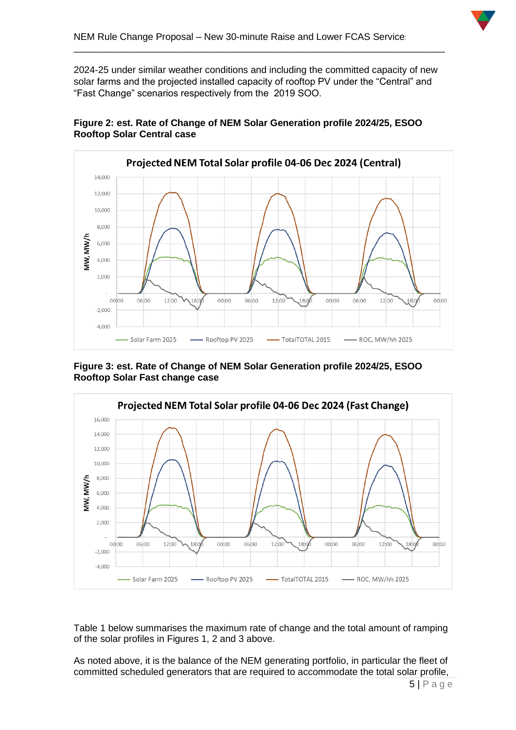

2024-25 under similar weather conditions and including the committed capacity of new solar farms and the projected installed capacity of rooftop PV under the "Central" and "Fast Change" scenarios respectively from the 2019 SOO.

\_\_\_\_\_\_\_\_\_\_\_\_\_\_\_\_\_\_\_\_\_\_\_\_\_\_\_\_\_\_\_\_\_\_\_\_\_\_\_\_\_\_\_\_\_\_\_\_\_\_\_\_\_\_\_\_\_\_\_\_\_\_\_\_\_\_\_\_\_\_



#### **Figure 2: est. Rate of Change of NEM Solar Generation profile 2024/25, ESOO Rooftop Solar Central case**

**Figure 3: est. Rate of Change of NEM Solar Generation profile 2024/25, ESOO Rooftop Solar Fast change case**



Table 1 below summarises the maximum rate of change and the total amount of ramping of the solar profiles in Figures 1, 2 and 3 above.

As noted above, it is the balance of the NEM generating portfolio, in particular the fleet of committed scheduled generators that are required to accommodate the total solar profile,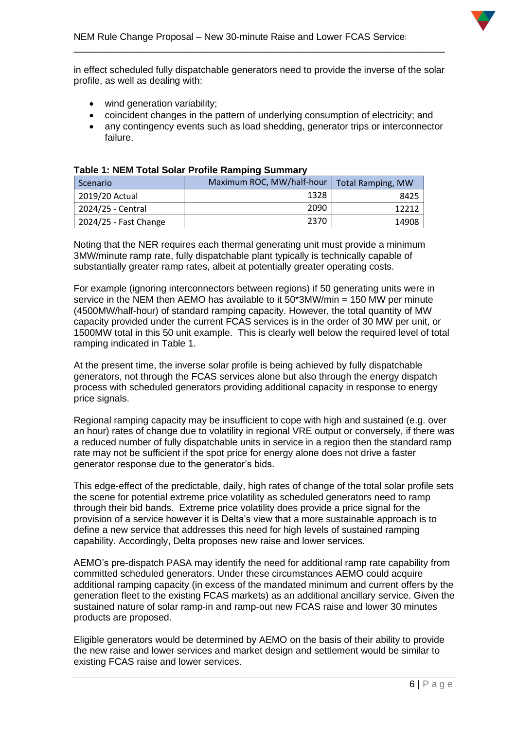in effect scheduled fully dispatchable generators need to provide the inverse of the solar profile, as well as dealing with:

\_\_\_\_\_\_\_\_\_\_\_\_\_\_\_\_\_\_\_\_\_\_\_\_\_\_\_\_\_\_\_\_\_\_\_\_\_\_\_\_\_\_\_\_\_\_\_\_\_\_\_\_\_\_\_\_\_\_\_\_\_\_\_\_\_\_\_\_\_\_

- wind generation variability;
- coincident changes in the pattern of underlying consumption of electricity; and
- any contingency events such as load shedding, generator trips or interconnector failure.

| Scenario              | Maximum ROC, MW/half-hour | <b>Total Ramping, MW</b> |
|-----------------------|---------------------------|--------------------------|
| 2019/20 Actual        | 1328                      | 8425                     |
| 2024/25 - Central     | 2090                      | 12213                    |
| 2024/25 - Fast Change | 2370                      | 14908                    |

#### **Table 1: NEM Total Solar Profile Ramping Summary**

Noting that the NER requires each thermal generating unit must provide a minimum 3MW/minute ramp rate, fully dispatchable plant typically is technically capable of substantially greater ramp rates, albeit at potentially greater operating costs.

For example (ignoring interconnectors between regions) if 50 generating units were in service in the NEM then AEMO has available to it  $50*3MW/min = 150 MW$  per minute (4500MW/half-hour) of standard ramping capacity. However, the total quantity of MW capacity provided under the current FCAS services is in the order of 30 MW per unit, or 1500MW total in this 50 unit example. This is clearly well below the required level of total ramping indicated in Table 1.

At the present time, the inverse solar profile is being achieved by fully dispatchable generators, not through the FCAS services alone but also through the energy dispatch process with scheduled generators providing additional capacity in response to energy price signals.

Regional ramping capacity may be insufficient to cope with high and sustained (e.g. over an hour) rates of change due to volatility in regional VRE output or conversely, if there was a reduced number of fully dispatchable units in service in a region then the standard ramp rate may not be sufficient if the spot price for energy alone does not drive a faster generator response due to the generator's bids.

This edge-effect of the predictable, daily, high rates of change of the total solar profile sets the scene for potential extreme price volatility as scheduled generators need to ramp through their bid bands. Extreme price volatility does provide a price signal for the provision of a service however it is Delta's view that a more sustainable approach is to define a new service that addresses this need for high levels of sustained ramping capability. Accordingly, Delta proposes new raise and lower services.

AEMO's pre-dispatch PASA may identify the need for additional ramp rate capability from committed scheduled generators. Under these circumstances AEMO could acquire additional ramping capacity (in excess of the mandated minimum and current offers by the generation fleet to the existing FCAS markets) as an additional ancillary service. Given the sustained nature of solar ramp-in and ramp-out new FCAS raise and lower 30 minutes products are proposed.

Eligible generators would be determined by AEMO on the basis of their ability to provide the new raise and lower services and market design and settlement would be similar to existing FCAS raise and lower services.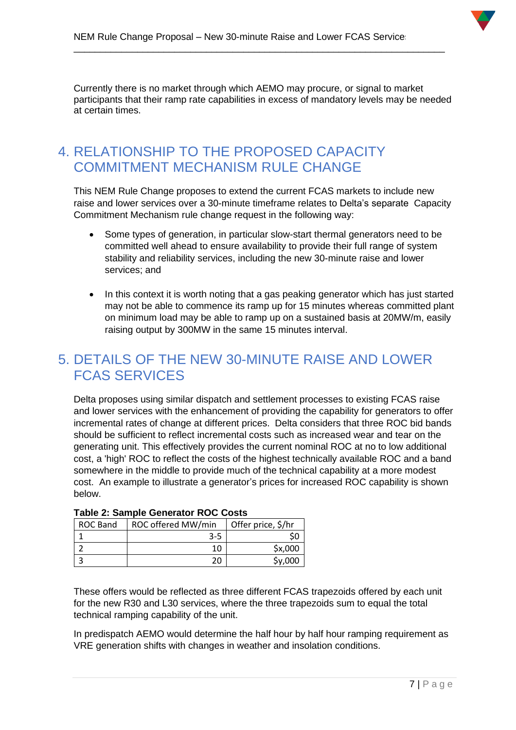

Currently there is no market through which AEMO may procure, or signal to market participants that their ramp rate capabilities in excess of mandatory levels may be needed at certain times.

\_\_\_\_\_\_\_\_\_\_\_\_\_\_\_\_\_\_\_\_\_\_\_\_\_\_\_\_\_\_\_\_\_\_\_\_\_\_\_\_\_\_\_\_\_\_\_\_\_\_\_\_\_\_\_\_\_\_\_\_\_\_\_\_\_\_\_\_\_\_

### <span id="page-7-0"></span>4. RELATIONSHIP TO THE PROPOSED CAPACITY COMMITMENT MECHANISM RULE CHANGE

This NEM Rule Change proposes to extend the current FCAS markets to include new raise and lower services over a 30-minute timeframe relates to Delta's separate Capacity Commitment Mechanism rule change request in the following way:

- Some types of generation, in particular slow-start thermal generators need to be committed well ahead to ensure availability to provide their full range of system stability and reliability services, including the new 30-minute raise and lower services; and
- In this context it is worth noting that a gas peaking generator which has just started may not be able to commence its ramp up for 15 minutes whereas committed plant on minimum load may be able to ramp up on a sustained basis at 20MW/m, easily raising output by 300MW in the same 15 minutes interval.

# <span id="page-7-1"></span>5. DETAILS OF THE NEW 30-MINUTE RAISE AND LOWER FCAS SERVICES

Delta proposes using similar dispatch and settlement processes to existing FCAS raise and lower services with the enhancement of providing the capability for generators to offer incremental rates of change at different prices. Delta considers that three ROC bid bands should be sufficient to reflect incremental costs such as increased wear and tear on the generating unit. This effectively provides the current nominal ROC at no to low additional cost, a 'high' ROC to reflect the costs of the highest technically available ROC and a band somewhere in the middle to provide much of the technical capability at a more modest cost. An example to illustrate a generator's prices for increased ROC capability is shown below.

| I GMD – EI VGIIIMIV VYIIVIGIVI IIVV V VYVIV |                    |                    |  |  |  |  |
|---------------------------------------------|--------------------|--------------------|--|--|--|--|
| <b>ROC Band</b>                             | ROC offered MW/min | Offer price, \$/hr |  |  |  |  |
|                                             | 3-5                |                    |  |  |  |  |
|                                             | 10                 | \$x,000            |  |  |  |  |
|                                             | 20                 | \$v,000            |  |  |  |  |

#### **Table 2: Sample Generator ROC Costs**

These offers would be reflected as three different FCAS trapezoids offered by each unit for the new R30 and L30 services, where the three trapezoids sum to equal the total technical ramping capability of the unit.

In predispatch AEMO would determine the half hour by half hour ramping requirement as VRE generation shifts with changes in weather and insolation conditions.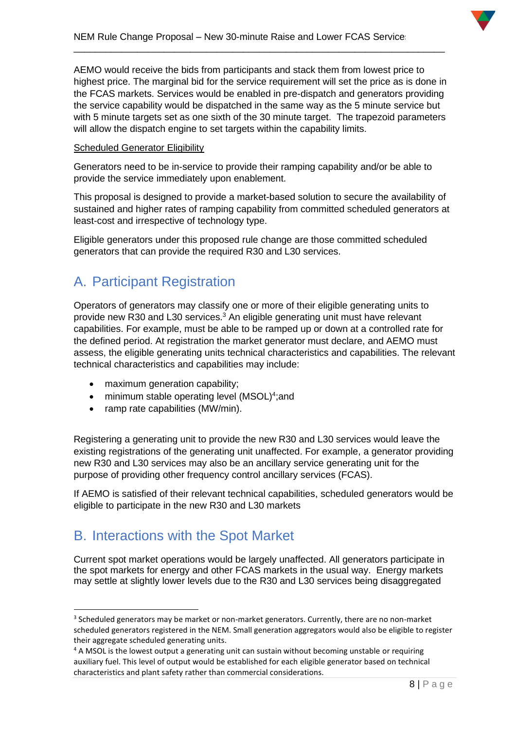

AEMO would receive the bids from participants and stack them from lowest price to highest price. The marginal bid for the service requirement will set the price as is done in the FCAS markets. Services would be enabled in pre-dispatch and generators providing the service capability would be dispatched in the same way as the 5 minute service but with 5 minute targets set as one sixth of the 30 minute target. The trapezoid parameters will allow the dispatch engine to set targets within the capability limits.

\_\_\_\_\_\_\_\_\_\_\_\_\_\_\_\_\_\_\_\_\_\_\_\_\_\_\_\_\_\_\_\_\_\_\_\_\_\_\_\_\_\_\_\_\_\_\_\_\_\_\_\_\_\_\_\_\_\_\_\_\_\_\_\_\_\_\_\_\_\_

#### Scheduled Generator Eligibility

Generators need to be in-service to provide their ramping capability and/or be able to provide the service immediately upon enablement.

This proposal is designed to provide a market-based solution to secure the availability of sustained and higher rates of ramping capability from committed scheduled generators at least-cost and irrespective of technology type.

Eligible generators under this proposed rule change are those committed scheduled generators that can provide the required R30 and L30 services.

### <span id="page-8-0"></span>A. Participant Registration

Operators of generators may classify one or more of their eligible generating units to provide new R30 and L30 services.<sup>3</sup> An eligible generating unit must have relevant capabilities. For example, must be able to be ramped up or down at a controlled rate for the defined period. At registration the market generator must declare, and AEMO must assess, the eligible generating units technical characteristics and capabilities. The relevant technical characteristics and capabilities may include:

- maximum generation capability;
- minimum stable operating level (MSOL)<sup>4</sup>;and
- ramp rate capabilities (MW/min).

Registering a generating unit to provide the new R30 and L30 services would leave the existing registrations of the generating unit unaffected. For example, a generator providing new R30 and L30 services may also be an ancillary service generating unit for the purpose of providing other frequency control ancillary services (FCAS).

If AEMO is satisfied of their relevant technical capabilities, scheduled generators would be eligible to participate in the new R30 and L30 markets

### <span id="page-8-1"></span>B. Interactions with the Spot Market

Current spot market operations would be largely unaffected. All generators participate in the spot markets for energy and other FCAS markets in the usual way. Energy markets may settle at slightly lower levels due to the R30 and L30 services being disaggregated

<sup>&</sup>lt;sup>3</sup> Scheduled generators may be market or non-market generators. Currently, there are no non-market scheduled generators registered in the NEM. Small generation aggregators would also be eligible to register their aggregate scheduled generating units.

<sup>&</sup>lt;sup>4</sup> A MSOL is the lowest output a generating unit can sustain without becoming unstable or requiring auxiliary fuel. This level of output would be established for each eligible generator based on technical characteristics and plant safety rather than commercial considerations.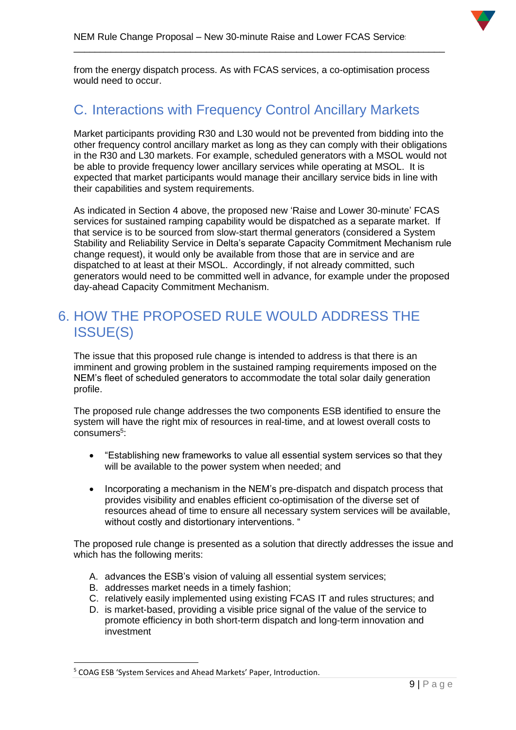

from the energy dispatch process. As with FCAS services, a co-optimisation process would need to occur.

\_\_\_\_\_\_\_\_\_\_\_\_\_\_\_\_\_\_\_\_\_\_\_\_\_\_\_\_\_\_\_\_\_\_\_\_\_\_\_\_\_\_\_\_\_\_\_\_\_\_\_\_\_\_\_\_\_\_\_\_\_\_\_\_\_\_\_\_\_\_

# <span id="page-9-0"></span>C. Interactions with Frequency Control Ancillary Markets

Market participants providing R30 and L30 would not be prevented from bidding into the other frequency control ancillary market as long as they can comply with their obligations in the R30 and L30 markets. For example, scheduled generators with a MSOL would not be able to provide frequency lower ancillary services while operating at MSOL. It is expected that market participants would manage their ancillary service bids in line with their capabilities and system requirements.

As indicated in Section 4 above, the proposed new 'Raise and Lower 30-minute' FCAS services for sustained ramping capability would be dispatched as a separate market. If that service is to be sourced from slow-start thermal generators (considered a System Stability and Reliability Service in Delta's separate Capacity Commitment Mechanism rule change request), it would only be available from those that are in service and are dispatched to at least at their MSOL. Accordingly, if not already committed, such generators would need to be committed well in advance, for example under the proposed day-ahead Capacity Commitment Mechanism.

### <span id="page-9-1"></span>6. HOW THE PROPOSED RULE WOULD ADDRESS THE ISSUE(S)

The issue that this proposed rule change is intended to address is that there is an imminent and growing problem in the sustained ramping requirements imposed on the NEM's fleet of scheduled generators to accommodate the total solar daily generation profile.

The proposed rule change addresses the two components ESB identified to ensure the system will have the right mix of resources in real-time, and at lowest overall costs to consumers<sup>5</sup>:

- "Establishing new frameworks to value all essential system services so that they will be available to the power system when needed; and
- Incorporating a mechanism in the NEM's pre-dispatch and dispatch process that provides visibility and enables efficient co-optimisation of the diverse set of resources ahead of time to ensure all necessary system services will be available, without costly and distortionary interventions. "

The proposed rule change is presented as a solution that directly addresses the issue and which has the following merits:

- A. advances the ESB's vision of valuing all essential system services;
- B. addresses market needs in a timely fashion;
- C. relatively easily implemented using existing FCAS IT and rules structures; and
- D. is market-based, providing a visible price signal of the value of the service to promote efficiency in both short-term dispatch and long-term innovation and investment

<sup>5</sup> COAG ESB 'System Services and Ahead Markets' Paper, Introduction.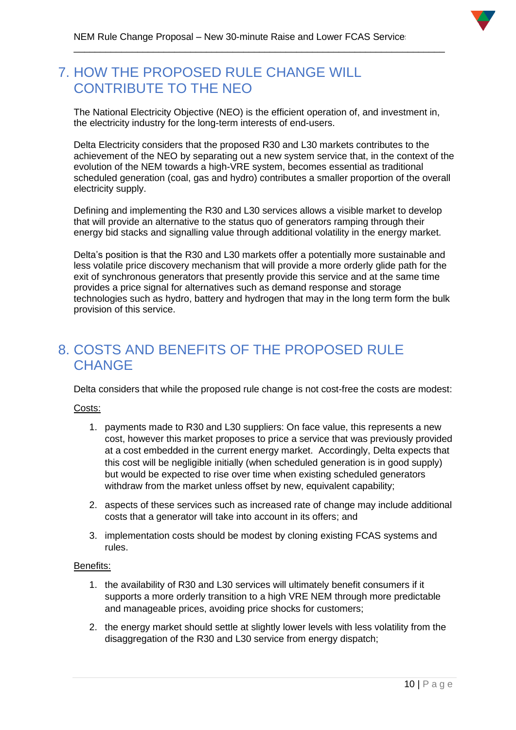### <span id="page-10-0"></span>7. HOW THE PROPOSED RULE CHANGE WILL CONTRIBUTE TO THE NEO

The National Electricity Objective (NEO) is the efficient operation of, and investment in, the electricity industry for the long-term interests of end-users.

\_\_\_\_\_\_\_\_\_\_\_\_\_\_\_\_\_\_\_\_\_\_\_\_\_\_\_\_\_\_\_\_\_\_\_\_\_\_\_\_\_\_\_\_\_\_\_\_\_\_\_\_\_\_\_\_\_\_\_\_\_\_\_\_\_\_\_\_\_\_

Delta Electricity considers that the proposed R30 and L30 markets contributes to the achievement of the NEO by separating out a new system service that, in the context of the evolution of the NEM towards a high-VRE system, becomes essential as traditional scheduled generation (coal, gas and hydro) contributes a smaller proportion of the overall electricity supply.

Defining and implementing the R30 and L30 services allows a visible market to develop that will provide an alternative to the status quo of generators ramping through their energy bid stacks and signalling value through additional volatility in the energy market.

Delta's position is that the R30 and L30 markets offer a potentially more sustainable and less volatile price discovery mechanism that will provide a more orderly glide path for the exit of synchronous generators that presently provide this service and at the same time provides a price signal for alternatives such as demand response and storage technologies such as hydro, battery and hydrogen that may in the long term form the bulk provision of this service.

### <span id="page-10-1"></span>8. COSTS AND BENEFITS OF THE PROPOSED RULE **CHANGE**

Delta considers that while the proposed rule change is not cost-free the costs are modest:

#### Costs:

- 1. payments made to R30 and L30 suppliers: On face value, this represents a new cost, however this market proposes to price a service that was previously provided at a cost embedded in the current energy market. Accordingly, Delta expects that this cost will be negligible initially (when scheduled generation is in good supply) but would be expected to rise over time when existing scheduled generators withdraw from the market unless offset by new, equivalent capability;
- 2. aspects of these services such as increased rate of change may include additional costs that a generator will take into account in its offers; and
- 3. implementation costs should be modest by cloning existing FCAS systems and rules.

#### Benefits:

- 1. the availability of R30 and L30 services will ultimately benefit consumers if it supports a more orderly transition to a high VRE NEM through more predictable and manageable prices, avoiding price shocks for customers;
- 2. the energy market should settle at slightly lower levels with less volatility from the disaggregation of the R30 and L30 service from energy dispatch;